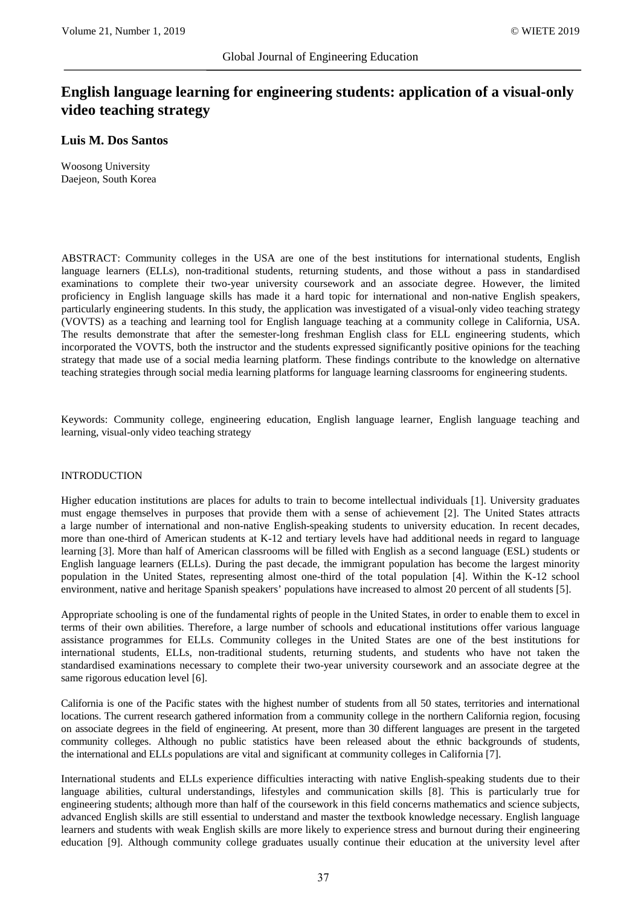# **English language learning for engineering students: application of a visual-only video teaching strategy**

# **Luis M. Dos Santos**

Woosong University Daejeon, South Korea

ABSTRACT: Community colleges in the USA are one of the best institutions for international students, English language learners (ELLs), non-traditional students, returning students, and those without a pass in standardised examinations to complete their two-year university coursework and an associate degree. However, the limited proficiency in English language skills has made it a hard topic for international and non-native English speakers, particularly engineering students. In this study, the application was investigated of a visual-only video teaching strategy (VOVTS) as a teaching and learning tool for English language teaching at a community college in California, USA. The results demonstrate that after the semester-long freshman English class for ELL engineering students, which incorporated the VOVTS, both the instructor and the students expressed significantly positive opinions for the teaching strategy that made use of a social media learning platform. These findings contribute to the knowledge on alternative teaching strategies through social media learning platforms for language learning classrooms for engineering students.

Keywords: Community college, engineering education, English language learner, English language teaching and learning, visual-only video teaching strategy

## INTRODUCTION

Higher education institutions are places for adults to train to become intellectual individuals [1]. University graduates must engage themselves in purposes that provide them with a sense of achievement [2]. The United States attracts a large number of international and non-native English-speaking students to university education. In recent decades, more than one-third of American students at K-12 and tertiary levels have had additional needs in regard to language learning [3]. More than half of American classrooms will be filled with English as a second language (ESL) students or English language learners (ELLs). During the past decade, the immigrant population has become the largest minority population in the United States, representing almost one-third of the total population [4]. Within the K-12 school environment, native and heritage Spanish speakers' populations have increased to almost 20 percent of all students [5].

Appropriate schooling is one of the fundamental rights of people in the United States, in order to enable them to excel in terms of their own abilities. Therefore, a large number of schools and educational institutions offer various language assistance programmes for ELLs. Community colleges in the United States are one of the best institutions for international students, ELLs, non-traditional students, returning students, and students who have not taken the standardised examinations necessary to complete their two-year university coursework and an associate degree at the same rigorous education level [6].

California is one of the Pacific states with the highest number of students from all 50 states, territories and international locations. The current research gathered information from a community college in the northern California region, focusing on associate degrees in the field of engineering. At present, more than 30 different languages are present in the targeted community colleges. Although no public statistics have been released about the ethnic backgrounds of students, the international and ELLs populations are vital and significant at community colleges in California [7].

International students and ELLs experience difficulties interacting with native English-speaking students due to their language abilities, cultural understandings, lifestyles and communication skills [8]. This is particularly true for engineering students; although more than half of the coursework in this field concerns mathematics and science subjects, advanced English skills are still essential to understand and master the textbook knowledge necessary. English language learners and students with weak English skills are more likely to experience stress and burnout during their engineering education [9]. Although community college graduates usually continue their education at the university level after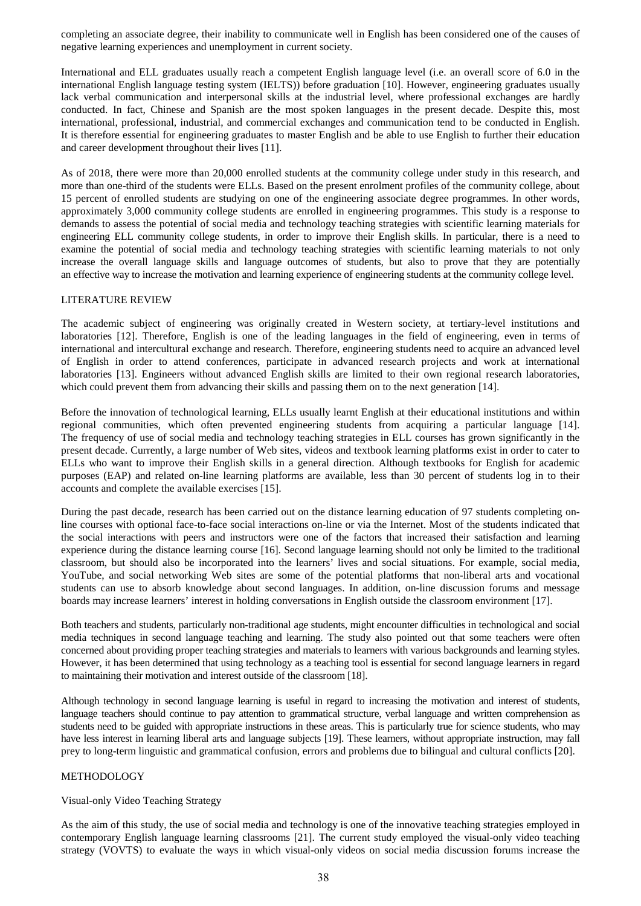completing an associate degree, their inability to communicate well in English has been considered one of the causes of negative learning experiences and unemployment in current society.

International and ELL graduates usually reach a competent English language level (i.e. an overall score of 6.0 in the international English language testing system (IELTS)) before graduation [10]. However, engineering graduates usually lack verbal communication and interpersonal skills at the industrial level, where professional exchanges are hardly conducted. In fact, Chinese and Spanish are the most spoken languages in the present decade. Despite this, most international, professional, industrial, and commercial exchanges and communication tend to be conducted in English. It is therefore essential for engineering graduates to master English and be able to use English to further their education and career development throughout their lives [11].

As of 2018, there were more than 20,000 enrolled students at the community college under study in this research, and more than one-third of the students were ELLs. Based on the present enrolment profiles of the community college, about 15 percent of enrolled students are studying on one of the engineering associate degree programmes. In other words, approximately 3,000 community college students are enrolled in engineering programmes. This study is a response to demands to assess the potential of social media and technology teaching strategies with scientific learning materials for engineering ELL community college students, in order to improve their English skills. In particular, there is a need to examine the potential of social media and technology teaching strategies with scientific learning materials to not only increase the overall language skills and language outcomes of students, but also to prove that they are potentially an effective way to increase the motivation and learning experience of engineering students at the community college level.

#### LITERATURE REVIEW

The academic subject of engineering was originally created in Western society, at tertiary-level institutions and laboratories [12]. Therefore, English is one of the leading languages in the field of engineering, even in terms of international and intercultural exchange and research. Therefore, engineering students need to acquire an advanced level of English in order to attend conferences, participate in advanced research projects and work at international laboratories [13]. Engineers without advanced English skills are limited to their own regional research laboratories, which could prevent them from advancing their skills and passing them on to the next generation [14].

Before the innovation of technological learning, ELLs usually learnt English at their educational institutions and within regional communities, which often prevented engineering students from acquiring a particular language [14]. The frequency of use of social media and technology teaching strategies in ELL courses has grown significantly in the present decade. Currently, a large number of Web sites, videos and textbook learning platforms exist in order to cater to ELLs who want to improve their English skills in a general direction. Although textbooks for English for academic purposes (EAP) and related on-line learning platforms are available, less than 30 percent of students log in to their accounts and complete the available exercises [15].

During the past decade, research has been carried out on the distance learning education of 97 students completing online courses with optional face-to-face social interactions on-line or via the Internet. Most of the students indicated that the social interactions with peers and instructors were one of the factors that increased their satisfaction and learning experience during the distance learning course [16]. Second language learning should not only be limited to the traditional classroom, but should also be incorporated into the learners' lives and social situations. For example, social media, YouTube, and social networking Web sites are some of the potential platforms that non-liberal arts and vocational students can use to absorb knowledge about second languages. In addition, on-line discussion forums and message boards may increase learners' interest in holding conversations in English outside the classroom environment [17].

Both teachers and students, particularly non-traditional age students, might encounter difficulties in technological and social media techniques in second language teaching and learning. The study also pointed out that some teachers were often concerned about providing proper teaching strategies and materials to learners with various backgrounds and learning styles. However, it has been determined that using technology as a teaching tool is essential for second language learners in regard to maintaining their motivation and interest outside of the classroom [18].

Although technology in second language learning is useful in regard to increasing the motivation and interest of students, language teachers should continue to pay attention to grammatical structure, verbal language and written comprehension as students need to be guided with appropriate instructions in these areas. This is particularly true for science students, who may have less interest in learning liberal arts and language subjects [19]. These learners, without appropriate instruction, may fall prey to long-term linguistic and grammatical confusion, errors and problems due to bilingual and cultural conflicts [20].

#### METHODOLOGY

## Visual-only Video Teaching Strategy

As the aim of this study, the use of social media and technology is one of the innovative teaching strategies employed in contemporary English language learning classrooms [21]. The current study employed the visual-only video teaching strategy (VOVTS) to evaluate the ways in which visual-only videos on social media discussion forums increase the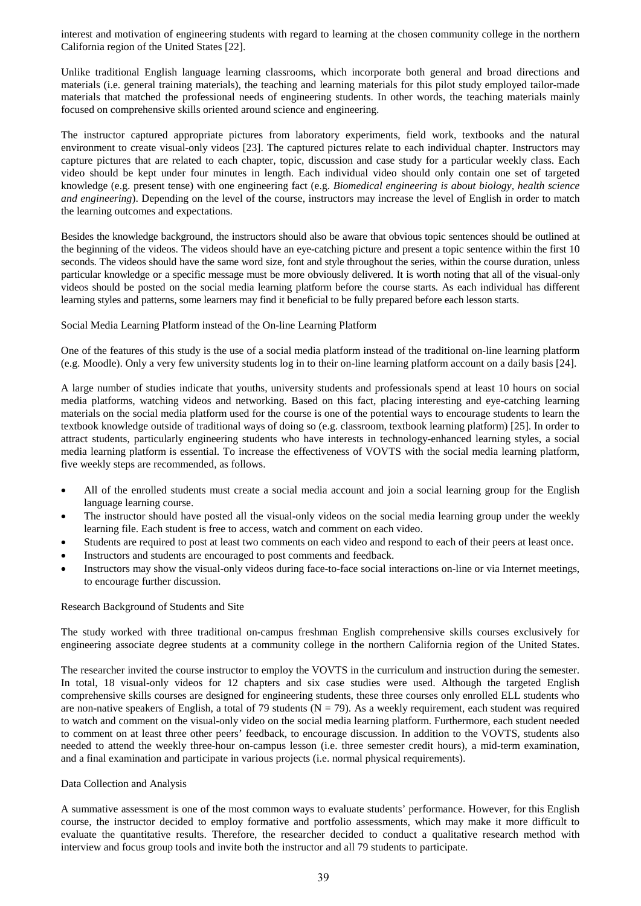interest and motivation of engineering students with regard to learning at the chosen community college in the northern California region of the United States [22].

Unlike traditional English language learning classrooms, which incorporate both general and broad directions and materials (i.e. general training materials), the teaching and learning materials for this pilot study employed tailor-made materials that matched the professional needs of engineering students. In other words, the teaching materials mainly focused on comprehensive skills oriented around science and engineering.

The instructor captured appropriate pictures from laboratory experiments, field work, textbooks and the natural environment to create visual-only videos [23]. The captured pictures relate to each individual chapter. Instructors may capture pictures that are related to each chapter, topic, discussion and case study for a particular weekly class. Each video should be kept under four minutes in length. Each individual video should only contain one set of targeted knowledge (e.g. present tense) with one engineering fact (e.g. *Biomedical engineering is about biology, health science and engineering*). Depending on the level of the course, instructors may increase the level of English in order to match the learning outcomes and expectations.

Besides the knowledge background, the instructors should also be aware that obvious topic sentences should be outlined at the beginning of the videos. The videos should have an eye-catching picture and present a topic sentence within the first 10 seconds. The videos should have the same word size, font and style throughout the series, within the course duration, unless particular knowledge or a specific message must be more obviously delivered. It is worth noting that all of the visual-only videos should be posted on the social media learning platform before the course starts. As each individual has different learning styles and patterns, some learners may find it beneficial to be fully prepared before each lesson starts.

#### Social Media Learning Platform instead of the On-line Learning Platform

One of the features of this study is the use of a social media platform instead of the traditional on-line learning platform (e.g. Moodle). Only a very few university students log in to their on-line learning platform account on a daily basis [24].

A large number of studies indicate that youths, university students and professionals spend at least 10 hours on social media platforms, watching videos and networking. Based on this fact, placing interesting and eye-catching learning materials on the social media platform used for the course is one of the potential ways to encourage students to learn the textbook knowledge outside of traditional ways of doing so (e.g. classroom, textbook learning platform) [25]. In order to attract students, particularly engineering students who have interests in technology-enhanced learning styles, a social media learning platform is essential. To increase the effectiveness of VOVTS with the social media learning platform, five weekly steps are recommended, as follows.

- All of the enrolled students must create a social media account and join a social learning group for the English language learning course.
- The instructor should have posted all the visual-only videos on the social media learning group under the weekly learning file. Each student is free to access, watch and comment on each video.
- Students are required to post at least two comments on each video and respond to each of their peers at least once.
- Instructors and students are encouraged to post comments and feedback.
- Instructors may show the visual-only videos during face-to-face social interactions on-line or via Internet meetings, to encourage further discussion.

#### Research Background of Students and Site

The study worked with three traditional on-campus freshman English comprehensive skills courses exclusively for engineering associate degree students at a community college in the northern California region of the United States.

The researcher invited the course instructor to employ the VOVTS in the curriculum and instruction during the semester. In total, 18 visual-only videos for 12 chapters and six case studies were used. Although the targeted English comprehensive skills courses are designed for engineering students, these three courses only enrolled ELL students who are non-native speakers of English, a total of 79 students ( $N = 79$ ). As a weekly requirement, each student was required to watch and comment on the visual-only video on the social media learning platform. Furthermore, each student needed to comment on at least three other peers' feedback, to encourage discussion. In addition to the VOVTS, students also needed to attend the weekly three-hour on-campus lesson (i.e. three semester credit hours), a mid-term examination, and a final examination and participate in various projects (i.e. normal physical requirements).

#### Data Collection and Analysis

A summative assessment is one of the most common ways to evaluate students' performance. However, for this English course, the instructor decided to employ formative and portfolio assessments, which may make it more difficult to evaluate the quantitative results. Therefore, the researcher decided to conduct a qualitative research method with interview and focus group tools and invite both the instructor and all 79 students to participate.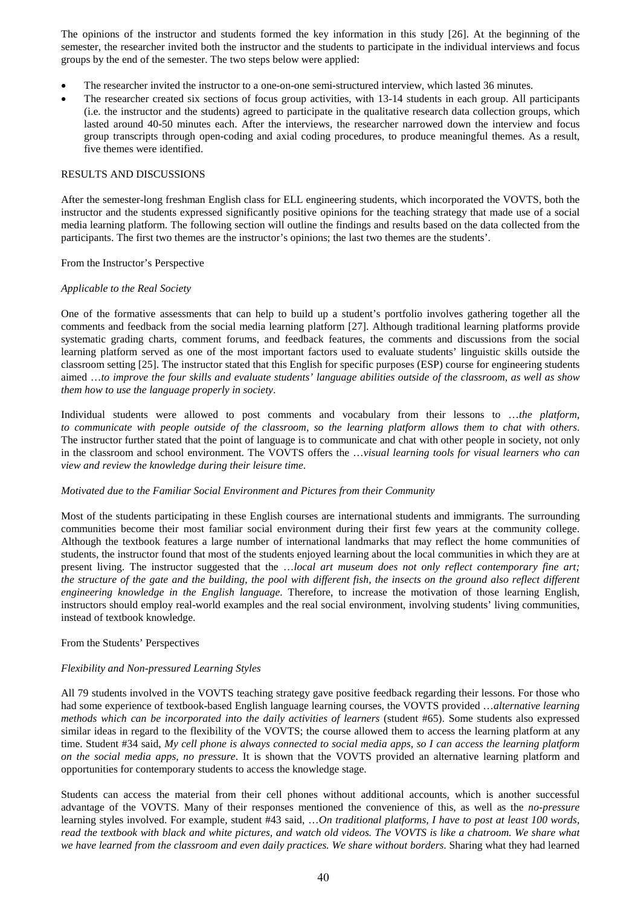The opinions of the instructor and students formed the key information in this study [26]. At the beginning of the semester, the researcher invited both the instructor and the students to participate in the individual interviews and focus groups by the end of the semester. The two steps below were applied:

- The researcher invited the instructor to a one-on-one semi-structured interview, which lasted 36 minutes.
- The researcher created six sections of focus group activities, with 13-14 students in each group. All participants (i.e. the instructor and the students) agreed to participate in the qualitative research data collection groups, which lasted around 40-50 minutes each. After the interviews, the researcher narrowed down the interview and focus group transcripts through open-coding and axial coding procedures, to produce meaningful themes. As a result, five themes were identified.

#### RESULTS AND DISCUSSIONS

After the semester-long freshman English class for ELL engineering students, which incorporated the VOVTS, both the instructor and the students expressed significantly positive opinions for the teaching strategy that made use of a social media learning platform. The following section will outline the findings and results based on the data collected from the participants. The first two themes are the instructor's opinions; the last two themes are the students'.

#### From the Instructor's Perspective

#### *Applicable to the Real Society*

One of the formative assessments that can help to build up a student's portfolio involves gathering together all the comments and feedback from the social media learning platform [27]. Although traditional learning platforms provide systematic grading charts, comment forums, and feedback features, the comments and discussions from the social learning platform served as one of the most important factors used to evaluate students' linguistic skills outside the classroom setting [25]. The instructor stated that this English for specific purposes (ESP) course for engineering students aimed …*to improve the four skills and evaluate students' language abilities outside of the classroom, as well as show them how to use the language properly in society*.

Individual students were allowed to post comments and vocabulary from their lessons to …*the platform, to communicate with people outside of the classroom, so the learning platform allows them to chat with others*. The instructor further stated that the point of language is to communicate and chat with other people in society, not only in the classroom and school environment. The VOVTS offers the …*visual learning tools for visual learners who can view and review the knowledge during their leisure time*.

#### *Motivated due to the Familiar Social Environment and Pictures from their Community*

Most of the students participating in these English courses are international students and immigrants. The surrounding communities become their most familiar social environment during their first few years at the community college. Although the textbook features a large number of international landmarks that may reflect the home communities of students, the instructor found that most of the students enjoyed learning about the local communities in which they are at present living. The instructor suggested that the …*local art museum does not only reflect contemporary fine art; the structure of the gate and the building, the pool with different fish, the insects on the ground also reflect different engineering knowledge in the English language*. Therefore, to increase the motivation of those learning English, instructors should employ real-world examples and the real social environment, involving students' living communities, instead of textbook knowledge.

#### From the Students' Perspectives

#### *Flexibility and Non-pressured Learning Styles*

All 79 students involved in the VOVTS teaching strategy gave positive feedback regarding their lessons. For those who had some experience of textbook-based English language learning courses, the VOVTS provided …*alternative learning methods which can be incorporated into the daily activities of learners* (student #65). Some students also expressed similar ideas in regard to the flexibility of the VOVTS; the course allowed them to access the learning platform at any time. Student #34 said, *My cell phone is always connected to social media apps, so I can access the learning platform on the social media apps, no pressure*. It is shown that the VOVTS provided an alternative learning platform and opportunities for contemporary students to access the knowledge stage.

Students can access the material from their cell phones without additional accounts, which is another successful advantage of the VOVTS. Many of their responses mentioned the convenience of this, as well as the *no-pressure* learning styles involved. For example, student #43 said, …*On traditional platforms, I have to post at least 100 words, read the textbook with black and white pictures, and watch old videos. The VOVTS is like a chatroom. We share what we have learned from the classroom and even daily practices. We share without borders*. Sharing what they had learned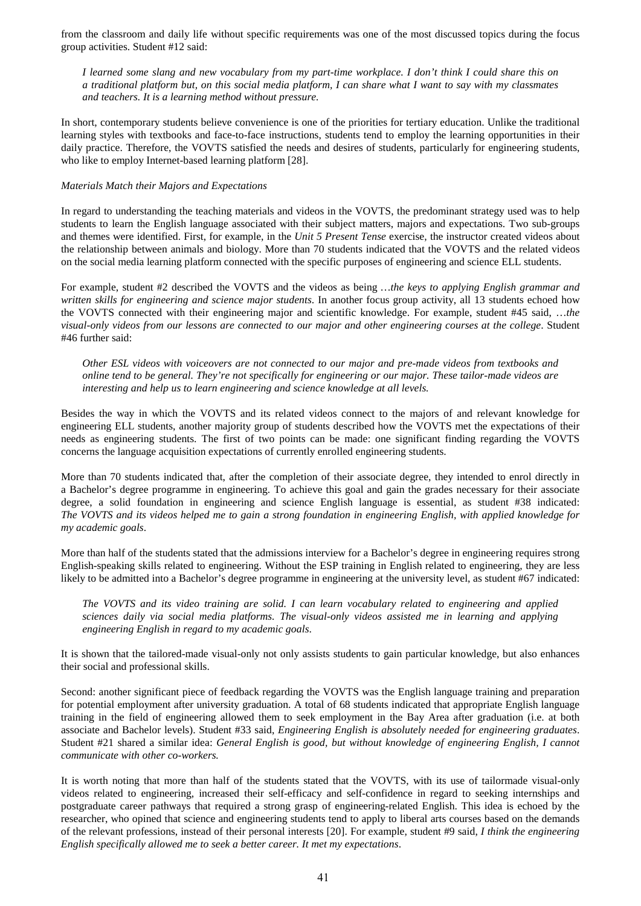from the classroom and daily life without specific requirements was one of the most discussed topics during the focus group activities. Student #12 said:

*I learned some slang and new vocabulary from my part-time workplace. I don't think I could share this on a traditional platform but, on this social media platform, I can share what I want to say with my classmates and teachers. It is a learning method without pressure.*

In short, contemporary students believe convenience is one of the priorities for tertiary education. Unlike the traditional learning styles with textbooks and face-to-face instructions, students tend to employ the learning opportunities in their daily practice. Therefore, the VOVTS satisfied the needs and desires of students, particularly for engineering students, who like to employ Internet-based learning platform [28].

### *Materials Match their Majors and Expectations*

In regard to understanding the teaching materials and videos in the VOVTS, the predominant strategy used was to help students to learn the English language associated with their subject matters, majors and expectations. Two sub-groups and themes were identified. First, for example, in the *Unit 5 Present Tense* exercise, the instructor created videos about the relationship between animals and biology. More than 70 students indicated that the VOVTS and the related videos on the social media learning platform connected with the specific purposes of engineering and science ELL students.

For example, student #2 described the VOVTS and the videos as being *…the keys to applying English grammar and written skills for engineering and science major students*. In another focus group activity, all 13 students echoed how the VOVTS connected with their engineering major and scientific knowledge. For example, student #45 said, …*the visual-only videos from our lessons are connected to our major and other engineering courses at the college*. Student #46 further said:

*Other ESL videos with voiceovers are not connected to our major and pre-made videos from textbooks and online tend to be general. They're not specifically for engineering or our major. These tailor-made videos are interesting and help us to learn engineering and science knowledge at all levels.* 

Besides the way in which the VOVTS and its related videos connect to the majors of and relevant knowledge for engineering ELL students, another majority group of students described how the VOVTS met the expectations of their needs as engineering students. The first of two points can be made: one significant finding regarding the VOVTS concerns the language acquisition expectations of currently enrolled engineering students.

More than 70 students indicated that, after the completion of their associate degree, they intended to enrol directly in a Bachelor's degree programme in engineering. To achieve this goal and gain the grades necessary for their associate degree, a solid foundation in engineering and science English language is essential, as student #38 indicated: *The VOVTS and its videos helped me to gain a strong foundation in engineering English, with applied knowledge for my academic goals*.

More than half of the students stated that the admissions interview for a Bachelor's degree in engineering requires strong English-speaking skills related to engineering. Without the ESP training in English related to engineering, they are less likely to be admitted into a Bachelor's degree programme in engineering at the university level, as student #67 indicated:

*The VOVTS and its video training are solid. I can learn vocabulary related to engineering and applied sciences daily via social media platforms. The visual-only videos assisted me in learning and applying engineering English in regard to my academic goals*.

It is shown that the tailored-made visual-only not only assists students to gain particular knowledge, but also enhances their social and professional skills.

Second: another significant piece of feedback regarding the VOVTS was the English language training and preparation for potential employment after university graduation. A total of 68 students indicated that appropriate English language training in the field of engineering allowed them to seek employment in the Bay Area after graduation (i.e. at both associate and Bachelor levels). Student #33 said, *Engineering English is absolutely needed for engineering graduates*. Student #21 shared a similar idea: *General English is good, but without knowledge of engineering English, I cannot communicate with other co-workers.*

It is worth noting that more than half of the students stated that the VOVTS, with its use of tailormade visual-only videos related to engineering, increased their self-efficacy and self-confidence in regard to seeking internships and postgraduate career pathways that required a strong grasp of engineering-related English. This idea is echoed by the researcher, who opined that science and engineering students tend to apply to liberal arts courses based on the demands of the relevant professions, instead of their personal interests [20]. For example, student #9 said, *I think the engineering English specifically allowed me to seek a better career. It met my expectations*.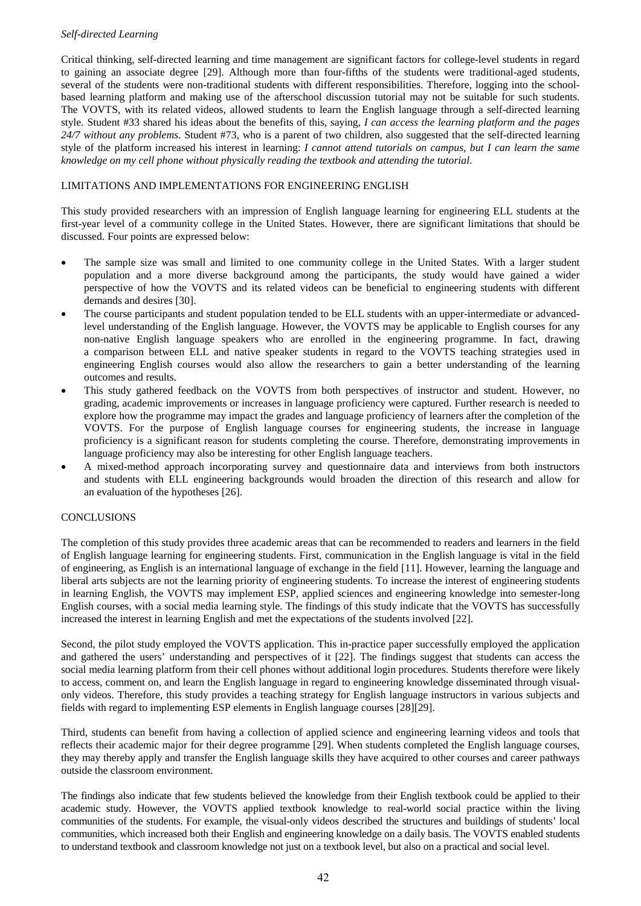## *Self-directed Learning*

Critical thinking, self-directed learning and time management are significant factors for college-level students in regard to gaining an associate degree [29]. Although more than four-fifths of the students were traditional-aged students, several of the students were non-traditional students with different responsibilities. Therefore, logging into the schoolbased learning platform and making use of the afterschool discussion tutorial may not be suitable for such students. The VOVTS, with its related videos, allowed students to learn the English language through a self-directed learning style. Student #33 shared his ideas about the benefits of this, saying, *I can access the learning platform and the pages 24/7 without any problems*. Student #73, who is a parent of two children, also suggested that the self-directed learning style of the platform increased his interest in learning: *I cannot attend tutorials on campus, but I can learn the same knowledge on my cell phone without physically reading the textbook and attending the tutorial*.

# LIMITATIONS AND IMPLEMENTATIONS FOR ENGINEERING ENGLISH

This study provided researchers with an impression of English language learning for engineering ELL students at the first-year level of a community college in the United States. However, there are significant limitations that should be discussed. Four points are expressed below:

- The sample size was small and limited to one community college in the United States. With a larger student population and a more diverse background among the participants, the study would have gained a wider perspective of how the VOVTS and its related videos can be beneficial to engineering students with different demands and desires [30].
- The course participants and student population tended to be ELL students with an upper-intermediate or advancedlevel understanding of the English language. However, the VOVTS may be applicable to English courses for any non-native English language speakers who are enrolled in the engineering programme. In fact, drawing a comparison between ELL and native speaker students in regard to the VOVTS teaching strategies used in engineering English courses would also allow the researchers to gain a better understanding of the learning outcomes and results.
- This study gathered feedback on the VOVTS from both perspectives of instructor and student. However, no grading, academic improvements or increases in language proficiency were captured. Further research is needed to explore how the programme may impact the grades and language proficiency of learners after the completion of the VOVTS. For the purpose of English language courses for engineering students, the increase in language proficiency is a significant reason for students completing the course. Therefore, demonstrating improvements in language proficiency may also be interesting for other English language teachers.
- A mixed-method approach incorporating survey and questionnaire data and interviews from both instructors and students with ELL engineering backgrounds would broaden the direction of this research and allow for an evaluation of the hypotheses [26].

## **CONCLUSIONS**

The completion of this study provides three academic areas that can be recommended to readers and learners in the field of English language learning for engineering students. First, communication in the English language is vital in the field of engineering, as English is an international language of exchange in the field [11]. However, learning the language and liberal arts subjects are not the learning priority of engineering students. To increase the interest of engineering students in learning English, the VOVTS may implement ESP, applied sciences and engineering knowledge into semester-long English courses, with a social media learning style. The findings of this study indicate that the VOVTS has successfully increased the interest in learning English and met the expectations of the students involved [22].

Second, the pilot study employed the VOVTS application. This in-practice paper successfully employed the application and gathered the users' understanding and perspectives of it [22]. The findings suggest that students can access the social media learning platform from their cell phones without additional login procedures. Students therefore were likely to access, comment on, and learn the English language in regard to engineering knowledge disseminated through visualonly videos. Therefore, this study provides a teaching strategy for English language instructors in various subjects and fields with regard to implementing ESP elements in English language courses [28][29].

Third, students can benefit from having a collection of applied science and engineering learning videos and tools that reflects their academic major for their degree programme [29]. When students completed the English language courses, they may thereby apply and transfer the English language skills they have acquired to other courses and career pathways outside the classroom environment.

The findings also indicate that few students believed the knowledge from their English textbook could be applied to their academic study. However, the VOVTS applied textbook knowledge to real-world social practice within the living communities of the students. For example, the visual-only videos described the structures and buildings of students' local communities, which increased both their English and engineering knowledge on a daily basis. The VOVTS enabled students to understand textbook and classroom knowledge not just on a textbook level, but also on a practical and social level.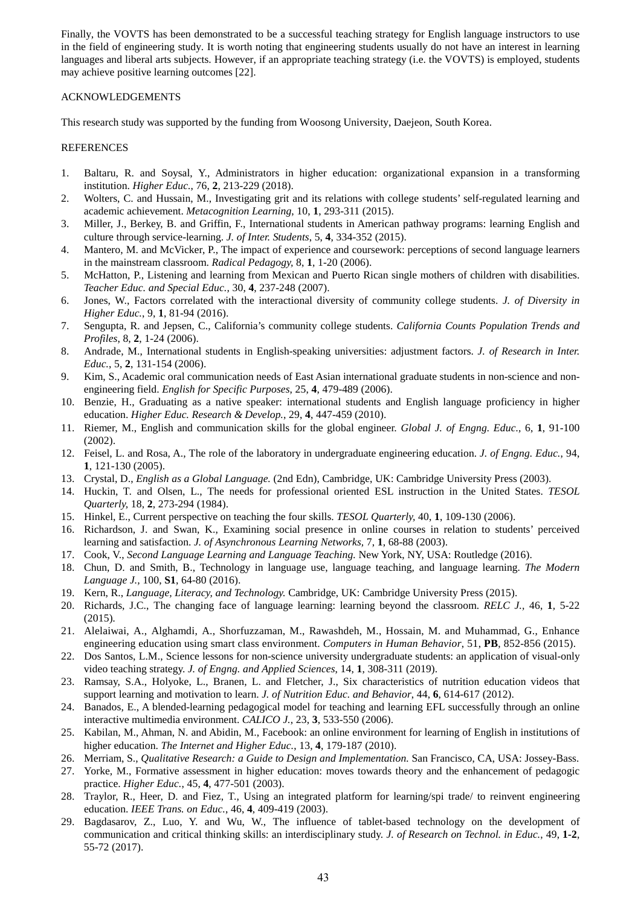Finally, the VOVTS has been demonstrated to be a successful teaching strategy for English language instructors to use in the field of engineering study. It is worth noting that engineering students usually do not have an interest in learning languages and liberal arts subjects. However, if an appropriate teaching strategy (i.e. the VOVTS) is employed, students may achieve positive learning outcomes [22].

## ACKNOWLEDGEMENTS

This research study was supported by the funding from Woosong University, Daejeon, South Korea.

## REFERENCES

- 1. Baltaru, R. and Soysal, Y., Administrators in higher education: organizational expansion in a transforming institution. *Higher Educ.*, 76, **2**, 213-229 (2018).
- 2. Wolters, C. and Hussain, M., Investigating grit and its relations with college students' self-regulated learning and academic achievement. *Metacognition Learning*, 10, **1**, 293-311 (2015).
- 3. Miller, J., Berkey, B. and Griffin, F., International students in American pathway programs: learning English and culture through service-learning. *J. of Inter. Students*, 5, **4**, 334-352 (2015).
- 4. Mantero, M. and McVicker, P., The impact of experience and coursework: perceptions of second language learners in the mainstream classroom. *Radical Pedagogy,* 8, **1**, 1-20 (2006).
- 5. McHatton, P., Listening and learning from Mexican and Puerto Rican single mothers of children with disabilities. *Teacher Educ. and Special Educ.,* 30, **4**, 237-248 (2007).
- 6. Jones, W., Factors correlated with the interactional diversity of community college students. *J. of Diversity in Higher Educ.*, 9, **1**, 81-94 (2016).
- 7. Sengupta, R. and Jepsen, C., California's community college students. *California Counts Population Trends and Profiles*, 8, **2**, 1-24 (2006).
- 8. Andrade, M., International students in English-speaking universities: adjustment factors. *J. of Research in Inter. Educ.*, 5, **2**, 131-154 (2006).
- 9. Kim, S., Academic oral communication needs of East Asian international graduate students in non-science and nonengineering field. *English for Specific Purposes*, 25, **4**, 479-489 (2006).
- 10. Benzie, H., Graduating as a native speaker: international students and English language proficiency in higher education. *Higher Educ. Research & Develop.*, 29, **4**, 447-459 (2010).
- 11. Riemer, M., English and communication skills for the global engineer. *Global J. of Engng. Educ.,* 6, **1**, 91-100 (2002).
- 12. Feisel, L. and Rosa, A., The role of the laboratory in undergraduate engineering education. *J. of Engng. Educ.*, 94, **1**, 121-130 (2005).
- 13. Crystal, D., *English as a Global Language.* (2nd Edn), Cambridge, UK: Cambridge University Press (2003).
- 14. Huckin, T. and Olsen, L., The needs for professional oriented ESL instruction in the United States. *TESOL Quarterly,* 18, **2**, 273-294 (1984).
- 15. Hinkel, E., Current perspective on teaching the four skills. *TESOL Quarterly,* 40, **1**, 109-130 (2006).
- 16. Richardson, J. and Swan, K., Examining social presence in online courses in relation to students' perceived learning and satisfaction. *J. of Asynchronous Learning Networks,* 7, **1**, 68-88 (2003).
- 17. Cook, V., *Second Language Learning and Language Teaching.* New York, NY, USA: Routledge (2016).
- 18. Chun, D. and Smith, B., Technology in language use, language teaching, and language learning. *The Modern Language J.,* 100, **S1**, 64-80 (2016).
- 19. Kern, R., *Language, Literacy, and Technology.* Cambridge, UK: Cambridge University Press (2015).
- 20. Richards, J.C., The changing face of language learning: learning beyond the classroom. *RELC J.,* 46, **1***,* 5-22 (2015)*.*
- 21. Alelaiwai, A., Alghamdi, A., Shorfuzzaman, M., Rawashdeh, M., Hossain, M. and Muhammad, G., Enhance engineering education using smart class environment. *Computers in Human Behavior*, 51, **PB**, 852-856 (2015).
- 22. Dos Santos, L.M., Science lessons for non-science university undergraduate students: an application of visual-only video teaching strategy. *J. of Engng. and Applied Sciences*, 14, **1**, 308-311 (2019).
- 23. Ramsay, S.A., Holyoke, L., Branen, L. and Fletcher, J., Six characteristics of nutrition education videos that support learning and motivation to learn. *J. of Nutrition Educ. and Behavior*, 44, **6**, 614-617 (2012).
- 24. Banados, E., A blended-learning pedagogical model for teaching and learning EFL successfully through an online interactive multimedia environment. *CALICO J.*, 23, **3**, 533-550 (2006).
- 25. Kabilan, M., Ahman, N. and Abidin, M., Facebook: an online environment for learning of English in institutions of higher education. *The Internet and Higher Educ.*, 13, **4**, 179-187 (2010).
- 26. Merriam, S., *Qualitative Research: a Guide to Design and Implementation.* San Francisco, CA, USA: Jossey-Bass.
- 27. Yorke, M., Formative assessment in higher education: moves towards theory and the enhancement of pedagogic practice. *Higher Educ.*, 45, **4**, 477-501 (2003).
- 28. Traylor, R., Heer, D. and Fiez, T., Using an integrated platform for learning/spi trade/ to reinvent engineering education. *IEEE Trans. on Educ.*, 46, **4**, 409-419 (2003).
- 29. Bagdasarov, Z., Luo, Y. and Wu, W., The influence of tablet-based technology on the development of communication and critical thinking skills: an interdisciplinary study. *J. of Research on Technol. in Educ.*, 49, **1-2**, 55-72 (2017).